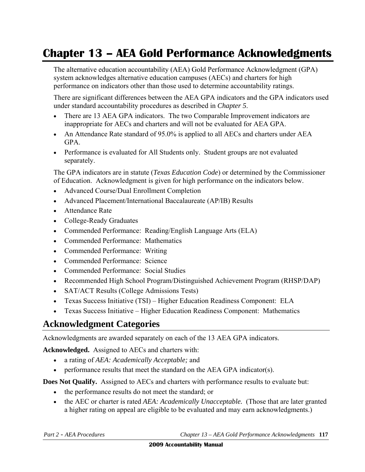# **Chapter 13 – AEA Gold Performance Acknowledgments**

The alternative education accountability (AEA) Gold Performance Acknowledgment (GPA) system acknowledges alternative education campuses (AECs) and charters for high performance on indicators other than those used to determine accountability ratings.

There are significant differences between the AEA GPA indicators and the GPA indicators used under standard accountability procedures as described in *Chapter 5*.

- There are 13 AEA GPA indicators. The two Comparable Improvement indicators are inappropriate for AECs and charters and will not be evaluated for AEA GPA.
- An Attendance Rate standard of 95.0% is applied to all AECs and charters under AEA GPA.
- Performance is evaluated for All Students only. Student groups are not evaluated separately.

The GPA indicators are in statute (*Texas Education Code*) or determined by the Commissioner of Education. Acknowledgment is given for high performance on the indicators below.

- Advanced Course/Dual Enrollment Completion
- Advanced Placement/International Baccalaureate (AP/IB) Results
- Attendance Rate
- College-Ready Graduates
- Commended Performance: Reading/English Language Arts (ELA)
- Commended Performance: Mathematics
- Commended Performance: Writing
- Commended Performance: Science
- Commended Performance: Social Studies
- Recommended High School Program/Distinguished Achievement Program (RHSP/DAP)
- SAT/ACT Results (College Admissions Tests)
- Texas Success Initiative (TSI) Higher Education Readiness Component: ELA
- Texas Success Initiative Higher Education Readiness Component: Mathematics

## **Acknowledgment Categories**

Acknowledgments are awarded separately on each of the 13 AEA GPA indicators.

**Acknowledged.** Assigned to AECs and charters with:

- a rating of *AEA: Academically Acceptable;* and
- performance results that meet the standard on the AEA GPA indicator(s).

**Does Not Qualify.** Assigned to AECs and charters with performance results to evaluate but:

- the performance results do not meet the standard; or
- the AEC or charter is rated *AEA: Academically Unacceptable.* (Those that are later granted a higher rating on appeal are eligible to be evaluated and may earn acknowledgments.)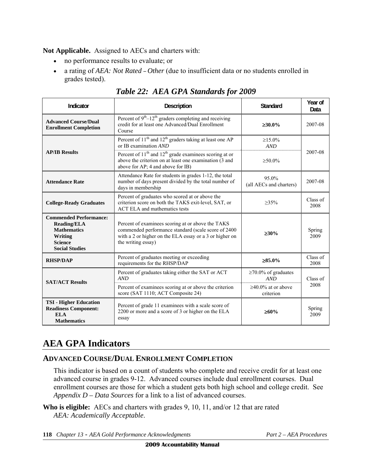**Not Applicable.** Assigned to AECs and charters with:

- no performance results to evaluate; or
- a rating of *AEA: Not Rated Other* (due to insufficient data or no students enrolled in grades tested).

| Indicator                                                                                                                       | Description                                                                                                                                                                               | Standard                               | Year of<br>Data  |
|---------------------------------------------------------------------------------------------------------------------------------|-------------------------------------------------------------------------------------------------------------------------------------------------------------------------------------------|----------------------------------------|------------------|
| <b>Advanced Course/Dual</b><br><b>Enrollment Completion</b>                                                                     | Percent of $9th-12th$ graders completing and receiving<br>credit for at least one Advanced/Dual Enrollment<br>Course                                                                      | $\geq 30.0\%$                          | 2007-08          |
|                                                                                                                                 | Percent of $11th$ and $12th$ graders taking at least one AP<br>or IB examination AND                                                                                                      | $\geq$ 15.0%<br>AND                    |                  |
| <b>AP/IB Results</b>                                                                                                            | Percent of $11th$ and $12th$ grade examinees scoring at or<br>above the criterion on at least one examination (3 and<br>above for AP; 4 and above for IB)                                 | $\geq 50.0\%$                          | 2007-08          |
| <b>Attendance Rate</b>                                                                                                          | Attendance Rate for students in grades 1-12, the total<br>number of days present divided by the total number of<br>days in membership                                                     | 95.0%<br>(all AECs and charters)       | 2007-08          |
| <b>College-Ready Graduates</b>                                                                                                  | Percent of graduates who scored at or above the<br>criterion score on both the TAKS exit-level, SAT, or<br><b>ACT ELA</b> and mathematics tests                                           | $\geq 35\%$                            | Class of<br>2008 |
| <b>Commended Performance:</b><br><b>Reading/ELA</b><br><b>Mathematics</b><br>Writing<br><b>Science</b><br><b>Social Studies</b> | Percent of examinees scoring at or above the TAKS<br>commended performance standard (scale score of 2400<br>with a 2 or higher on the ELA essay or a 3 or higher on<br>the writing essay) | $\geq 30\%$                            | Spring<br>2009   |
| <b>RHSP/DAP</b>                                                                                                                 | Percent of graduates meeting or exceeding<br>requirements for the RHSP/DAP                                                                                                                | $\geq 85.0\%$                          | Class of<br>2008 |
| <b>SAT/ACT Results</b>                                                                                                          | Percent of graduates taking either the SAT or ACT<br>AND                                                                                                                                  | $\geq$ 70.0% of graduates<br>AND       | Class of<br>2008 |
|                                                                                                                                 | Percent of examinees scoring at or above the criterion<br>score (SAT 1110; ACT Composite 24)                                                                                              | $\geq 40.0\%$ at or above<br>criterion |                  |
| <b>TSI - Higher Education</b><br><b>Readiness Component:</b><br><b>ELA</b><br><b>Mathematics</b>                                | Percent of grade 11 examinees with a scale score of<br>2200 or more and a score of 3 or higher on the ELA<br>essay                                                                        | $>60\%$                                | Spring<br>2009   |

## *Table 22: AEA GPA Standards for 2009*

## **AEA GPA Indicators**

## **ADVANCED COURSE/DUAL ENROLLMENT COMPLETION**

This indicator is based on a count of students who complete and receive credit for at least one advanced course in grades 9-12. Advanced courses include dual enrollment courses. Dual enrollment courses are those for which a student gets both high school and college credit. See *Appendix D – Data Sources* for a link to a list of advanced courses.

**Who is eligible:** AECs and charters with grades 9, 10, 11, and/or 12 that are rated *AEA: Academically Acceptable*.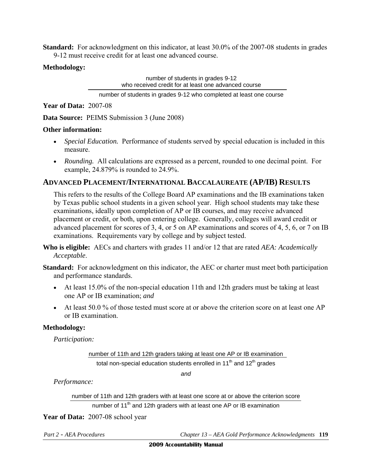**Standard:** For acknowledgment on this indicator, at least 30.0% of the 2007-08 students in grades 9-12 must receive credit for at least one advanced course.

#### **Methodology:**

number of students in grades 9-12 who received credit for at least one advanced course

number of students in grades 9-12 who completed at least one course

**Year of Data:** 2007-08

**Data Source:** PEIMS Submission 3 (June 2008)

#### **Other information:**

- *Special Education.* Performance of students served by special education is included in this measure.
- *Rounding.* All calculations are expressed as a percent, rounded to one decimal point. For example, 24.879% is rounded to 24.9%.

#### **ADVANCED PLACEMENT/INTERNATIONAL BACCALAUREATE (AP/IB) RESULTS**

This refers to the results of the College Board AP examinations and the IB examinations taken by Texas public school students in a given school year. High school students may take these examinations, ideally upon completion of AP or IB courses, and may receive advanced placement or credit, or both, upon entering college. Generally, colleges will award credit or advanced placement for scores of 3, 4, or 5 on AP examinations and scores of 4, 5, 6, or 7 on IB examinations. Requirements vary by college and by subject tested.

**Who is eligible:** AECs and charters with grades 11 and/or 12 that are rated *AEA: Academically Acceptable*.

**Standard:** For acknowledgment on this indicator, the AEC or charter must meet both participation and performance standards.

- At least 15.0% of the non-special education 11th and 12th graders must be taking at least one AP or IB examination; *and*
- At least 50.0 % of those tested must score at or above the criterion score on at least one AP or IB examination.

#### **Methodology:**

*Participation:* 

number of 11th and 12th graders taking at least one AP or IB examination total non-special education students enrolled in  $11<sup>th</sup>$  and  $12<sup>th</sup>$  grades

*and* 

*Performance:* 

number of 11th and 12th graders with at least one score at or above the criterion score number of 11<sup>th</sup> and 12th graders with at least one AP or IB examination

**Year of Data:** 2007-08 school year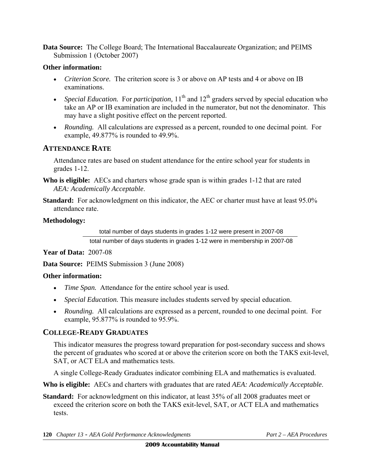**Data Source:** The College Board; The International Baccalaureate Organization; and PEIMS Submission 1 (October 2007)

#### **Other information:**

- *Criterion Score.* The criterion score is 3 or above on AP tests and 4 or above on IB examinations.
- *Special Education.* For *participation*, 11<sup>th</sup> and 12<sup>th</sup> graders served by special education who take an AP or IB examination are included in the numerator, but not the denominator. This may have a slight positive effect on the percent reported.
- *Rounding.* All calculations are expressed as a percent, rounded to one decimal point. For example, 49.877% is rounded to 49.9%.

## **ATTENDANCE RATE**

Attendance rates are based on student attendance for the entire school year for students in grades 1-12.

- **Who is eligible:** AECs and charters whose grade span is within grades 1-12 that are rated *AEA: Academically Acceptable*.
- **Standard:** For acknowledgment on this indicator, the AEC or charter must have at least 95.0% attendance rate.

#### **Methodology:**

total number of days students in grades 1-12 were present in 2007-08

total number of days students in grades 1-12 were in membership in 2007-08

**Year of Data:** 2007-08

**Data Source:** PEIMS Submission 3 (June 2008)

## **Other information:**

- *Time Span.* Attendance for the entire school year is used.
- *Special Education.* This measure includes students served by special education.
- *Rounding.* All calculations are expressed as a percent, rounded to one decimal point. For example, 95.877% is rounded to 95.9%.

## **COLLEGE-READY GRADUATES**

This indicator measures the progress toward preparation for post-secondary success and shows the percent of graduates who scored at or above the criterion score on both the TAKS exit-level, SAT, or ACT ELA and mathematics tests.

A single College-Ready Graduates indicator combining ELA and mathematics is evaluated.

**Who is eligible:** AECs and charters with graduates that are rated *AEA: Academically Acceptable*.

**Standard:** For acknowledgment on this indicator, at least 35% of all 2008 graduates meet or exceed the criterion score on both the TAKS exit-level, SAT, or ACT ELA and mathematics tests.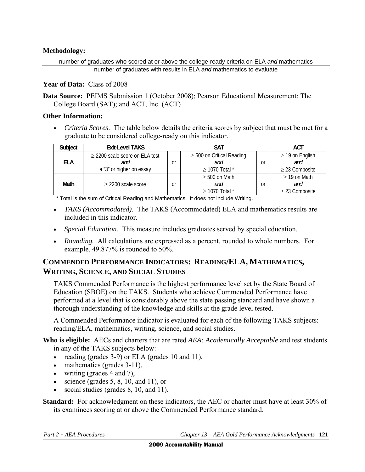#### **Methodology:**

```
number of graduates who scored at or above the college-ready criteria on ELA and mathematics
number of graduates with results in ELA and mathematics to evaluate
```
#### **Year of Data:** Class of 2008

**Data Source:** PEIMS Submission 1 (October 2008); Pearson Educational Measurement; The College Board (SAT); and ACT, Inc. (ACT)

#### **Other Information:**

 *Criteria Scores*. The table below details the criteria scores by subject that must be met for a graduate to be considered college-ready on this indicator.

| Subject | <b>Exit-Level TAKS</b>                                                 |    | SAT                                                          |    | ACT                                                |  |
|---------|------------------------------------------------------------------------|----|--------------------------------------------------------------|----|----------------------------------------------------|--|
| FI A    | $\geq$ 2200 scale score on ELA test<br>and<br>a "3" or higher on essay | 0ľ | $\geq$ 500 on Critical Reading<br>and<br>$\geq$ 1070 Total * | or | $\geq$ 19 on English<br>and<br>$\geq$ 23 Composite |  |
| Math    | $\geq$ 2200 scale score                                                | or | $\geq 500$ on Math<br>and<br>$\geq$ 1070 Total *             | 0ľ | $\geq$ 19 on Math<br>and<br>$\geq$ 23 Composite    |  |

\* Total is the sum of Critical Reading and Mathematics. It does not include Writing.

- *TAKS (Accommodated)*. The TAKS (Accommodated) ELA and mathematics results are included in this indicator.
- *Special Education.* This measure includes graduates served by special education.
- *Rounding.* All calculations are expressed as a percent, rounded to whole numbers. For example, 49.877% is rounded to 50%.

## **COMMENDED PERFORMANCE INDICATORS: READING/ELA, MATHEMATICS, WRITING, SCIENCE, AND SOCIAL STUDIES**

TAKS Commended Performance is the highest performance level set by the State Board of Education (SBOE) on the TAKS. Students who achieve Commended Performance have performed at a level that is considerably above the state passing standard and have shown a thorough understanding of the knowledge and skills at the grade level tested.

A Commended Performance indicator is evaluated for each of the following TAKS subjects: reading/ELA, mathematics, writing, science, and social studies.

**Who is eligible:** AECs and charters that are rated *AEA: Academically Acceptable* and test students in any of the TAKS subjects below:

- reading (grades 3-9) or ELA (grades 10 and 11),
- mathematics (grades 3-11),
- writing (grades 4 and 7),
- $\bullet$  science (grades 5, 8, 10, and 11), or
- social studies (grades 8, 10, and 11).

**Standard:** For acknowledgment on these indicators, the AEC or charter must have at least 30% of its examinees scoring at or above the Commended Performance standard.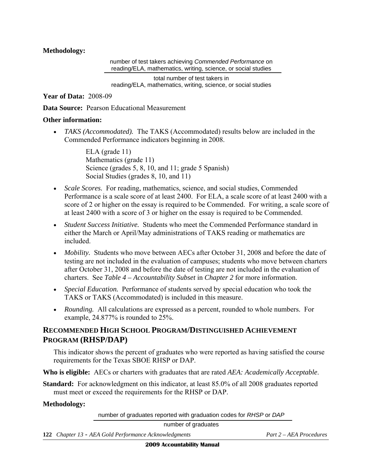#### **Methodology:**

number of test takers achieving *Commended Performance* on reading/ELA, mathematics, writing, science, or social studies

total number of test takers in reading/ELA, mathematics, writing, science, or social studies

**Year of Data:** 2008-09

**Data Source:** Pearson Educational Measurement

#### **Other information:**

 *TAKS (Accommodated).* The TAKS (Accommodated) results below are included in the Commended Performance indicators beginning in 2008.

> ELA (grade 11) Mathematics (grade 11) Science (grades 5, 8, 10, and 11; grade 5 Spanish) Social Studies (grades 8, 10, and 11)

- *Scale Scores.* For reading, mathematics, science, and social studies, Commended Performance is a scale score of at least 2400. For ELA, a scale score of at least 2400 with a score of 2 or higher on the essay is required to be Commended. For writing, a scale score of at least 2400 with a score of 3 or higher on the essay is required to be Commended.
- *Student Success Initiative.* Students who meet the Commended Performance standard in either the March or April/May administrations of TAKS reading or mathematics are included.
- *Mobility.* Students who move between AECs after October 31, 2008 and before the date of testing are not included in the evaluation of campuses; students who move between charters after October 31, 2008 and before the date of testing are not included in the evaluation of charters. See *Table 4 – Accountability Subset* in *Chapter 2* for more information.
- *Special Education.* Performance of students served by special education who took the TAKS or TAKS (Accommodated) is included in this measure.
- *Rounding.* All calculations are expressed as a percent, rounded to whole numbers. For example, 24.877% is rounded to 25%.

## **RECOMMENDED HIGH SCHOOL PROGRAM/DISTINGUISHED ACHIEVEMENT PROGRAM (RHSP/DAP)**

This indicator shows the percent of graduates who were reported as having satisfied the course requirements for the Texas SBOE RHSP or DAP.

**Who is eligible:** AECs or charters with graduates that are rated *AEA: Academically Acceptable*.

**Standard:** For acknowledgment on this indicator, at least 85.0% of all 2008 graduates reported must meet or exceed the requirements for the RHSP or DAP.

#### **Methodology:**

number of graduates reported with graduation codes for *RHSP* or *DAP*

number of graduates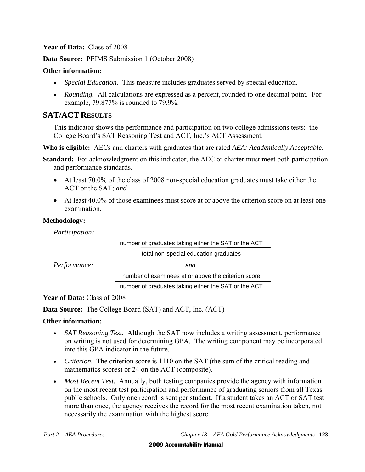**Year of Data:** Class of 2008

**Data Source:** PEIMS Submission 1 (October 2008)

### **Other information:**

- *Special Education.* This measure includes graduates served by special education.
- *Rounding.* All calculations are expressed as a percent, rounded to one decimal point. For example, 79.877% is rounded to 79.9%.

## **SAT/ACT RESULTS**

This indicator shows the performance and participation on two college admissions tests: the College Board's SAT Reasoning Test and ACT, Inc.'s ACT Assessment.

**Who is eligible:** AECs and charters with graduates that are rated *AEA: Academically Acceptable*.

**Standard:** For acknowledgment on this indicator, the AEC or charter must meet both participation and performance standards.

- At least 70.0% of the class of 2008 non-special education graduates must take either the ACT or the SAT; *and*
- At least 40.0% of those examinees must score at or above the criterion score on at least one examination.

#### **Methodology:**

*Participation:*

|              | number of graduates taking either the SAT or the ACT |  |
|--------------|------------------------------------------------------|--|
|              | total non-special education graduates                |  |
| Performance: | and                                                  |  |
|              | number of examinees at or above the criterion score  |  |
|              | number of graduates taking either the SAT or the ACT |  |

## **Year of Data:** Class of 2008

**Data Source:** The College Board (SAT) and ACT, Inc. (ACT)

## **Other information:**

- *SAT Reasoning Test.* Although the SAT now includes a writing assessment, performance on writing is not used for determining GPA. The writing component may be incorporated into this GPA indicator in the future.
- *Criterion.* The criterion score is 1110 on the SAT (the sum of the critical reading and mathematics scores) or 24 on the ACT (composite).
- *Most Recent Test.* Annually, both testing companies provide the agency with information on the most recent test participation and performance of graduating seniors from all Texas public schools. Only one record is sent per student. If a student takes an ACT or SAT test more than once, the agency receives the record for the most recent examination taken, not necessarily the examination with the highest score.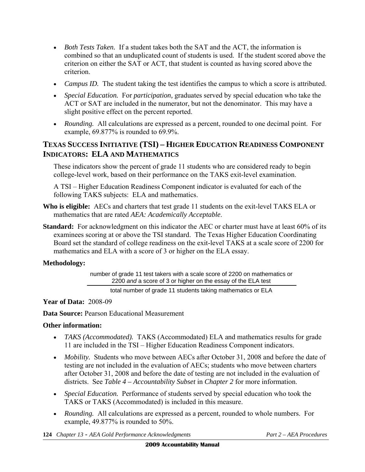- *Both Tests Taken.* If a student takes both the SAT and the ACT, the information is combined so that an unduplicated count of students is used. If the student scored above the criterion on either the SAT or ACT, that student is counted as having scored above the criterion.
- *Campus ID.* The student taking the test identifies the campus to which a score is attributed.
- *Special Education.* For *participation,* graduates served by special education who take the ACT or SAT are included in the numerator, but not the denominator. This may have a slight positive effect on the percent reported.
- *Rounding.* All calculations are expressed as a percent, rounded to one decimal point. For example, 69.877% is rounded to 69.9%.

## **TEXAS SUCCESS INITIATIVE (TSI) – HIGHER EDUCATION READINESS COMPONENT INDICATORS: ELA AND MATHEMATICS**

These indicators show the percent of grade 11 students who are considered ready to begin college-level work, based on their performance on the TAKS exit-level examination.

A TSI – Higher Education Readiness Component indicator is evaluated for each of the following TAKS subjects: ELA and mathematics.

- **Who is eligible:** AECs and charters that test grade 11 students on the exit-level TAKS ELA or mathematics that are rated *AEA: Academically Acceptable*.
- **Standard:** For acknowledgment on this indicator the AEC or charter must have at least 60% of its examinees scoring at or above the TSI standard. The Texas Higher Education Coordinating Board set the standard of college readiness on the exit-level TAKS at a scale score of 2200 for mathematics and ELA with a score of 3 or higher on the ELA essay.

## **Methodology:**

number of grade 11 test takers with a scale score of 2200 on mathematics or 2200 *and* a score of 3 or higher on the essay of the ELA test

total number of grade 11 students taking mathematics or ELA

## **Year of Data:** 2008-09

**Data Source:** Pearson Educational Measurement

## **Other information:**

- *TAKS (Accommodated).* TAKS (Accommodated) ELA and mathematics results for grade 11 are included in the TSI – Higher Education Readiness Component indicators.
- *Mobility.* Students who move between AECs after October 31, 2008 and before the date of testing are not included in the evaluation of AECs; students who move between charters after October 31, 2008 and before the date of testing are not included in the evaluation of districts. See *Table 4 – Accountability Subset* in *Chapter 2* for more information.
- *Special Education.* Performance of students served by special education who took the TAKS or TAKS (Accommodated) is included in this measure.
- *Rounding.* All calculations are expressed as a percent, rounded to whole numbers. For example, 49.877% is rounded to 50%.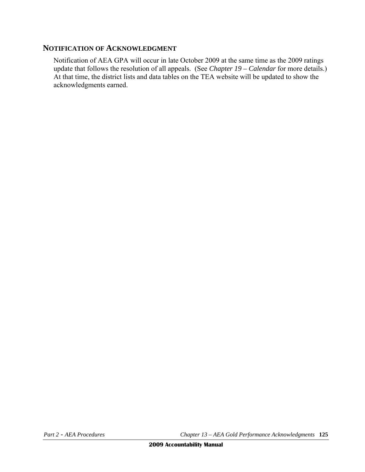#### **NOTIFICATION OF ACKNOWLEDGMENT**

Notification of AEA GPA will occur in late October 2009 at the same time as the 2009 ratings update that follows the resolution of all appeals. (See *Chapter 19 – Calendar* for more details.) At that time, the district lists and data tables on the TEA website will be updated to show the acknowledgments earned.